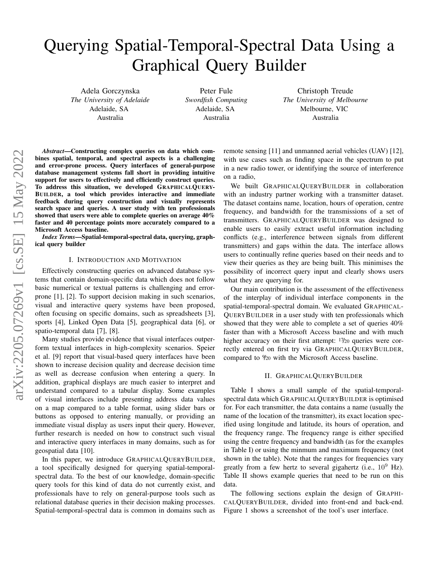# Querying Spatial-Temporal-Spectral Data Using a Graphical Query Builder

Adela Gorczynska *The University of Adelaide* Adelaide, SA Australia

Peter Fule *Swordfish Computing* Adelaide, SA Australia

Christoph Treude *The University of Melbourne* Melbourne, VIC Australia

*Abstract*—Constructing complex queries on data which combines spatial, temporal, and spectral aspects is a challenging and error-prone process. Query interfaces of general-purpose database management systems fall short in providing intuitive support for users to effectively and efficiently construct queries. To address this situation, we developed GRAPHICALQUERY-BUILDER, a tool which provides interactive and immediate feedback during query construction and visually represents search space and queries. A user study with ten professionals showed that users were able to complete queries on average 40% faster and 40 percentage points more accurately compared to a Microsoft Access baseline.

*Index Terms*—Spatial-temporal-spectral data, querying, graphical query builder

# I. INTRODUCTION AND MOTIVATION

Effectively constructing queries on advanced database systems that contain domain-specific data which does not follow basic numerical or textual patterns is challenging and errorprone [\[1\]](#page-4-0), [\[2\]](#page-4-1). To support decision making in such scenarios, visual and interactive query systems have been proposed, often focusing on specific domains, such as spreadsheets [\[3\]](#page-4-2), sports [\[4\]](#page-4-3), Linked Open Data [\[5\]](#page-4-4), geographical data [\[6\]](#page-4-5), or spatio-temporal data [\[7\]](#page-4-6), [\[8\]](#page-4-7).

Many studies provide evidence that visual interfaces outperform textual interfaces in high-complexity scenarios. Speier et al. [\[9\]](#page-4-8) report that visual-based query interfaces have been shown to increase decision quality and decrease decision time as well as decrease confusion when entering a query. In addition, graphical displays are much easier to interpret and understand compared to a tabular display. Some examples of visual interfaces include presenting address data values on a map compared to a table format, using slider bars or buttons as opposed to entering manually, or providing an immediate visual display as users input their query. However, further research is needed on how to construct such visual and interactive query interfaces in many domains, such as for geospatial data [\[10\]](#page-4-9).

In this paper, we introduce GRAPHICALQUERYBUILDER, a tool specifically designed for querying spatial-temporalspectral data. To the best of our knowledge, domain-specific query tools for this kind of data do not currently exist, and professionals have to rely on general-purpose tools such as relational database queries in their decision making processes. Spatial-temporal-spectral data is common in domains such as remote sensing [\[11\]](#page-4-10) and unmanned aerial vehicles (UAV) [\[12\]](#page-4-11), with use cases such as finding space in the spectrum to put in a new radio tower, or identifying the source of interference on a radio,

We built GRAPHICALQUERYBUILDER in collaboration with an industry partner working with a transmitter dataset. The dataset contains name, location, hours of operation, centre frequency, and bandwidth for the transmissions of a set of transmitters. GRAPHICALQUERYBUILDER was designed to enable users to easily extract useful information including conflicts (e.g., interference between signals from different transmitters) and gaps within the data. The interface allows users to continually refine queries based on their needs and to view their queries as they are being built. This minimises the possibility of incorrect query input and clearly shows users what they are querying for.

Our main contribution is the assessment of the effectiveness of the interplay of individual interface components in the spatial-temporal-spectral domain. We evaluated GRAPHICAL-QUERYBUILDER in a user study with ten professionals which showed that they were able to complete a set of queries 40% faster than with a Microsoft Access baseline and with much higher accuracy on their first attempt:  $17/20$  queries were correctly entered on first try via GRAPHICALQUERYBUILDER, compared to <sup>9</sup>/<sup>20</sup> with the Microsoft Access baseline.

#### II. GRAPHICALQUERYBUILDER

Table [I](#page-1-0) shows a small sample of the spatial-temporalspectral data which GRAPHICALQUERYBUILDER is optimised for. For each transmitter, the data contains a name (usually the name of the location of the transmitter), its exact location specified using longitude and latitude, its hours of operation, and the frequency range. The frequency range is either specified using the centre frequency and bandwidth (as for the examples in Table [I\)](#page-1-0) or using the minmum and maximum frequency (not shown in the table). Note that the ranges for frequencies vary greatly from a few hertz to several gigahertz (i.e.,  $10^9$  Hz). Table [II](#page-1-1) shows example queries that need to be run on this data.

The following sections explain the design of GRAPHI-CALQUERYBUILDER, divided into front-end and back-end. Figure [1](#page-2-0) shows a screenshot of the tool's user interface.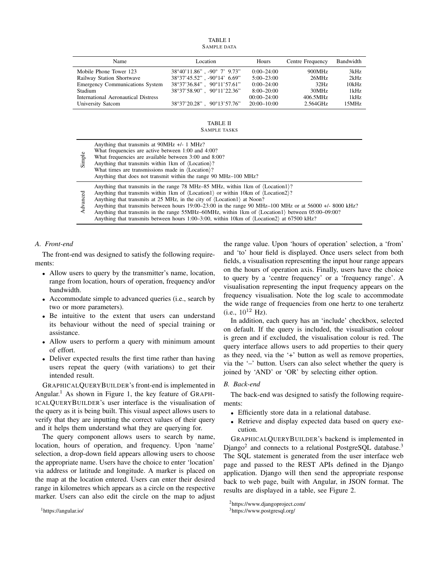TABLE I SAMPLE DATA

<span id="page-1-0"></span>

| Name                                   | Location                                        | Hours           | Centre Frequency | Bandwidth |
|----------------------------------------|-------------------------------------------------|-----------------|------------------|-----------|
| Mobile Phone Tower 123                 | $38^{\circ}40'11.86"$ . -90 $^{\circ}$ 7' 9.73" | $0:00-24:00$    | 900MHz           | 3kHz      |
| Railway Station Shortwave              | 38°37'45.52" . -90°14' 6.69"                    | $5:00 - 23:00$  | 26MHz            | 2kHz      |
| <b>Emergency Communications System</b> | $38^{\circ}37'36.84"$ , $90^{\circ}11'57.61"$   | $0:00-24:00$    | 32Hz             | 10kHz     |
| Stadium                                | $38^{\circ}37'58.90"$ , $90^{\circ}11'22.36"$   | $8:00 - 20:00$  | 30MHz            | 1kHz      |
| International Aeronautical Distress    |                                                 | $00:00-24:00$   | 406.5MHz         | 1kHz      |
| University Satcom                      | $38^{\circ}37'20.28"$ , $90^{\circ}13'57.76"$   | $20:00 - 10:00$ | 2.564GHz         | 15MHz     |
|                                        |                                                 |                 |                  |           |

#### TABLE II SAMPLE TASKS

<span id="page-1-1"></span>

| Simple   | Anything that transmits at $90MHz +/- 1MHz$ ?<br>What frequencies are active between 1:00 and 4:00?<br>What frequencies are available between 3:00 and 8:00?<br>Anything that transmits within 1 km of $\langle$ Location $\rangle$ ?<br>What times are transmissions made in $\langle$ Location $\rangle$ ?<br>Anything that does not transmit within the range 90 MHz-100 MHz?                                                                                                                                                                                                                                                                                            |
|----------|-----------------------------------------------------------------------------------------------------------------------------------------------------------------------------------------------------------------------------------------------------------------------------------------------------------------------------------------------------------------------------------------------------------------------------------------------------------------------------------------------------------------------------------------------------------------------------------------------------------------------------------------------------------------------------|
| Advanced | Anything that transmits in the range 78 MHz–85 MHz, within 1 km of $\langle$ Location1 $\rangle$ ?<br>Anything that transmits within 1 km of $\langle$ Location1 $\rangle$ or within 10 km of $\langle$ Location2 $\rangle$ ?<br>Anything that transmits at 25 MHz, in the city of $\langle$ Location1 $\rangle$ at Noon?<br>Anything that transmits between hours $19:00-23:00$ in the range 90 MHz-100 MHz or at 56000 +/- 8000 kHz?<br>Anything that transmits in the range 55MHz–60MHz, within 1km of $\langle$ Location1 $\rangle$ between 05:00–09:00?<br>Anything that transmits between hours 1:00–3:00, within 10km of $\langle$ Location2 $\rangle$ at 67500 kHz? |

# *A. Front-end*

The front-end was designed to satisfy the following requirements:

- Allow users to query by the transmitter's name, location, range from location, hours of operation, frequency and/or bandwidth.
- Accommodate simple to advanced queries (i.e., search by two or more parameters).
- Be intuitive to the extent that users can understand its behaviour without the need of special training or assistance.
- Allow users to perform a query with minimum amount of effort.
- Deliver expected results the first time rather than having users repeat the query (with variations) to get their intended result.

GRAPHICALQUERYBUILDER's front-end is implemented in Angular.<sup>[1](#page-1-2)</sup> As shown in Figure [1,](#page-2-0) the key feature of GRAPH-ICALQUERYBUILDER's user interface is the visualisation of the query as it is being built. This visual aspect allows users to verify that they are inputting the correct values of their query and it helps them understand what they are querying for.

The query component allows users to search by name, location, hours of operation, and frequency. Upon 'name' selection, a drop-down field appears allowing users to choose the appropriate name. Users have the choice to enter 'location' via address or latitude and longitude. A marker is placed on the map at the location entered. Users can enter their desired range in kilometres which appears as a circle on the respective marker. Users can also edit the circle on the map to adjust

the range value. Upon 'hours of operation' selection, a 'from' and 'to' hour field is displayed. Once users select from both fields, a visualisation representing the input hour range appears on the hours of operation axis. Finally, users have the choice to query by a 'centre frequency' or a 'frequency range'. A visualisation representing the input frequency appears on the frequency visualisation. Note the log scale to accommodate the wide range of frequencies from one hertz to one terahertz (i.e.,  $10^{12}$  Hz).

In addition, each query has an 'include' checkbox, selected on default. If the query is included, the visualisation colour is green and if excluded, the visualisation colour is red. The query interface allows users to add properties to their query as they need, via the '+' button as well as remove properties, via the '–' button. Users can also select whether the query is joined by 'AND' or 'OR' by selecting either option.

### *B. Back-end*

The back-end was designed to satisfy the following requirements:

- Efficiently store data in a relational database.
- Retrieve and display expected data based on query execution.

GRAPHICALQUERYBUILDER's backend is implemented in Django<sup>[2](#page-1-3)</sup> and connects to a relational PostgreSQL database.<sup>[3](#page-1-4)</sup> The SQL statement is generated from the user interface web page and passed to the REST APIs defined in the Django application. Django will then send the appropriate response back to web page, built with Angular, in JSON format. The results are displayed in a table, see Figure [2.](#page-3-0)

<span id="page-1-2"></span><sup>1</sup><https://angular.io/>

<span id="page-1-3"></span><sup>2</sup><https://www.djangoproject.com/>

<span id="page-1-4"></span><sup>3</sup><https://www.postgresql.org/>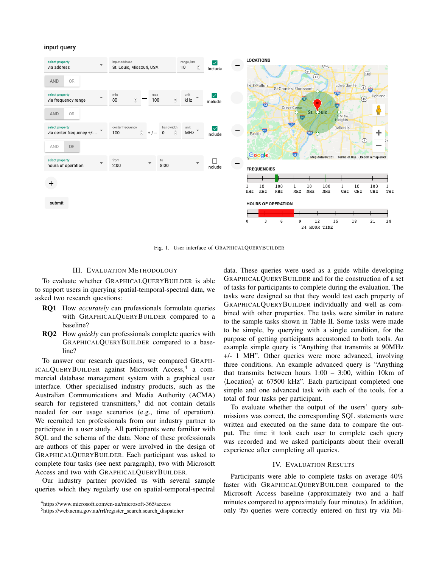# input query



<span id="page-2-0"></span>Fig. 1. User interface of GRAPHICALQUERYBUILDER

# III. EVALUATION METHODOLOGY

To evaluate whether GRAPHICALQUERYBUILDER is able to support users in querying spatial-temporal-spectral data, we asked two research questions:

- RQ1 How *accurately* can professionals formulate queries with GRAPHICALQUERYBUILDER compared to a baseline?
- RQ2 How *quickly* can professionals complete queries with GRAPHICALQUERYBUILDER compared to a baseline?

To answer our research questions, we compared GRAPH-ICALQUERYBUILDER against Microsoft Access,<sup>[4](#page-2-1)</sup> a commercial database management system with a graphical user interface. Other specialised industry products, such as the Australian Communications and Media Authority (ACMA) search for registered transmitters,<sup>[5](#page-2-2)</sup> did not contain details needed for our usage scenarios (e.g., time of operation). We recruited ten professionals from our industry partner to participate in a user study. All participants were familiar with SQL and the schema of the data. None of these professionals are authors of this paper or were involved in the design of GRAPHICALQUERYBUILDER. Each participant was asked to complete four tasks (see next paragraph), two with Microsoft Access and two with GRAPHICALQUERYBUILDER.

Our industry partner provided us with several sample queries which they regularly use on spatial-temporal-spectral

data. These queries were used as a guide while developing GRAPHICALQUERYBUILDER and for the construction of a set of tasks for participants to complete during the evaluation. The tasks were designed so that they would test each property of GRAPHICALQUERYBUILDER individually and well as combined with other properties. The tasks were similar in nature to the sample tasks shown in Table [II.](#page-1-1) Some tasks were made to be simple, by querying with a single condition, for the purpose of getting participants accustomed to both tools. An example simple query is "Anything that transmits at 90MHz +/- 1 MH". Other queries were more advanced, involving three conditions. An example advanced query is "Anything that transmits between hours  $1:00 - 3:00$ , within 10km of  $\langle$ Location $\rangle$  at 67500 kHz". Each participant completed one simple and one advanced task with each of the tools, for a total of four tasks per participant.

To evaluate whether the output of the users' query submissions was correct, the corresponding SQL statements were written and executed on the same data to compare the output. The time it took each user to complete each query was recorded and we asked participants about their overall experience after completing all queries.

# IV. EVALUATION RESULTS

Participants were able to complete tasks on average 40% faster with GRAPHICALQUERYBUILDER compared to the Microsoft Access baseline (approximately two and a half minutes compared to approximately four minutes). In addition, only <sup>9</sup>/<sup>20</sup> queries were correctly entered on first try via Mi-

<span id="page-2-1"></span><sup>4</sup><https://www.microsoft.com/en-au/microsoft-365/access>

<span id="page-2-2"></span><sup>5</sup>[https://web.acma.gov.au/rrl/register](https://web.acma.gov.au/rrl/register_search.search_dispatcher)\_search.search\_dispatcher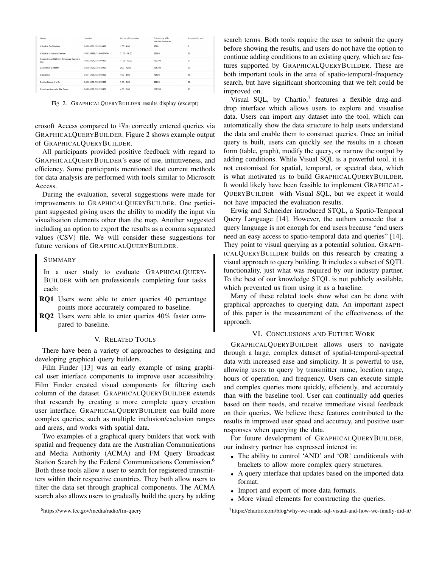| Name                                              | <b>Location</b>          | Hours of Operation | Frequency, kHz<br>view free frequencies | Bandwidth, kHz |
|---------------------------------------------------|--------------------------|--------------------|-----------------------------------------|----------------|
| Adelaide Oval Station                             | -34.906201.138.593933    | $1:00 - 4:00$      | 3000                                    |                |
| Adelaide Univeristy Satcom                        | -34.9284989, 138.6007456 | $11:00 - 16:00$    | 25000                                   | 15             |
| Alexanderson Midpoint Broadcast Australia<br>Site | $-34.926101.138.594303$  | $11:00 - 12:00$    | 132300                                  | 21             |
| RA Site Lot 2 Hester                              | -34.906101.138.543903    | $2:00 - 12:00$     | 105300                                  | 53             |
| <b>Blain Drive</b>                                | -34.916101, 138.593903   | $1:00 - 4:00$      | 76500                                   | 10             |
| Bourke-Brewarrina Rd                              | -34.906101, 138.293903   | $1:00 - 3:00$      | 88200                                   | 10             |
| <b>Broadcast Australia Site Caves</b>             | -34.906101.138.553903    | $4:00 - 5:00$      | 119700                                  | 21             |

<span id="page-3-0"></span>Fig. 2. GRAPHICALQUERYBUILDER results display (excerpt)

crosoft Access compared to 17/20 correctly entered queries via GRAPHICALQUERYBUILDER. Figure [2](#page-3-0) shows example output of GRAPHICALQUERYBUILDER.

All participants provided positive feedback with regard to GRAPHICALQUERYBUILDER's ease of use, intuitiveness, and efficiency. Some participants mentioned that current methods for data analysis are performed with tools similar to Microsoft Access.

During the evaluation, several suggestions were made for improvements to GRAPHICALQUERYBUILDER. One participant suggested giving users the ability to modify the input via visualisation elements other than the map. Another suggested including an option to export the results as a comma separated values (CSV) file. We will consider these suggestions for future versions of GRAPHICALQUERYBUILDER.

# SUMMARY

In a user study to evaluate GRAPHICALQUERY-BUILDER with ten professionals completing four tasks each:

- RQ1 Users were able to enter queries 40 percentage points more accurately compared to baseline.
- RQ2 Users were able to enter queries 40% faster compared to baseline.

# V. RELATED TOOLS

There have been a variety of approaches to designing and developing graphical query builders.

Film Finder [\[13\]](#page-4-12) was an early example of using graphical user interface components to improve user accessibility. Film Finder created visual components for filtering each column of the dataset. GRAPHICALQUERYBUILDER extends that research by creating a more complete query creation user interface. GRAPHICALQUERYBUILDER can build more complex queries, such as multiple inclusion/exclusion ranges and areas, and works with spatial data.

Two examples of a graphical query builders that work with spatial and frequency data are the Australian Communications and Media Authority (ACMA) and FM Query Broadcast Station Search by the Federal Communications Commission.<sup>[6](#page-3-1)</sup> Both these tools allow a user to search for registered transmitters within their respective countries. They both allow users to filter the data set through graphical components. The ACMA search also allows users to gradually build the query by adding

<span id="page-3-1"></span><sup>6</sup><https://www.fcc.gov/media/radio/fm-query>

search terms. Both tools require the user to submit the query before showing the results, and users do not have the option to continue adding conditions to an existing query, which are features supported by GRAPHICALQUERYBUILDER. These are both important tools in the area of spatio-temporal-frequency search, but have significant shortcoming that we felt could be improved on.

Visual SQL, by Chartio,<sup>[7](#page-3-2)</sup> features a flexible drag-anddrop interface which allows users to explore and visualise data. Users can import any dataset into the tool, which can automatically show the data structure to help users understand the data and enable them to construct queries. Once an initial query is built, users can quickly see the results in a chosen form (table, graph), modify the query, or narrow the output by adding conditions. While Visual SQL is a powerful tool, it is not customised for spatial, temporal, or spectral data, which is what motivated us to build GRAPHICALQUERYBUILDER. It would likely have been feasible to implement GRAPHICAL-QUERYBUILDER with Visual SQL, but we expect it would not have impacted the evaluation results.

Erwig and Schneider introduced STQL, a Spatio-Temporal Query Language [\[14\]](#page-4-13). However, the authors concede that a query language is not enough for end users because "end users need an easy access to spatio-temporal data and queries" [\[14\]](#page-4-13). They point to visual querying as a potential solution. GRAPH-ICALQUERYBUILDER builds on this research by creating a visual approach to query building. It includes a subset of SQTL functionality, just what was required by our industry partner. To the best of our knowledge STQL is not publicly available, which prevented us from using it as a baseline.

Many of these related tools show what can be done with graphical approaches to querying data. An important aspect of this paper is the measurement of the effectiveness of the approach.

### VI. CONCLUSIONS AND FUTURE WORK

GRAPHICALQUERYBUILDER allows users to navigate through a large, complex dataset of spatial-temporal-spectral data with increased ease and simplicity. It is powerful to use, allowing users to query by transmitter name, location range, hours of operation, and frequency. Users can execute simple and complex queries more quickly, efficiently, and accurately than with the baseline tool. User can continually add queries based on their needs, and receive immediate visual feedback on their queries. We believe these features contributed to the results in improved user speed and accuracy, and positive user responses when querying the data.

For future development of GRAPHICALQUERYBUILDER, our industry partner has expressed interest in:

- The ability to control 'AND' and 'OR' conditionals with brackets to allow more complex query structures.
- A query interface that updates based on the imported data format.
- Import and export of more data formats.
- More visual elements for constructing the queries.

<span id="page-3-2"></span><sup>7</sup><https://chartio.com/blog/why-we-made-sql-visual-and-how-we-finally-did-it/>